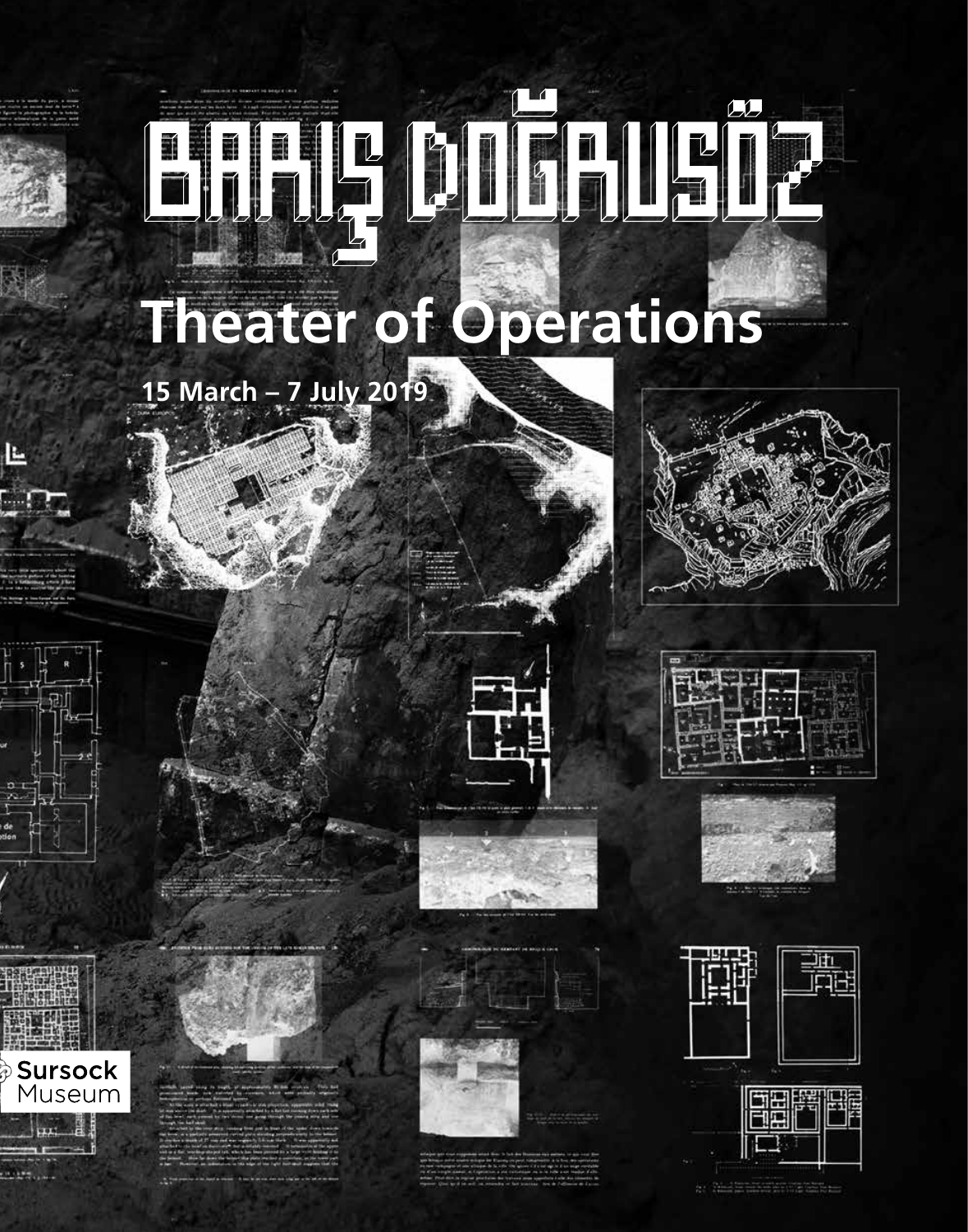# Hully DUFILL?

# **Theater of Operations**

# **15 March – 7 July 2019**





**Sursock** Museum















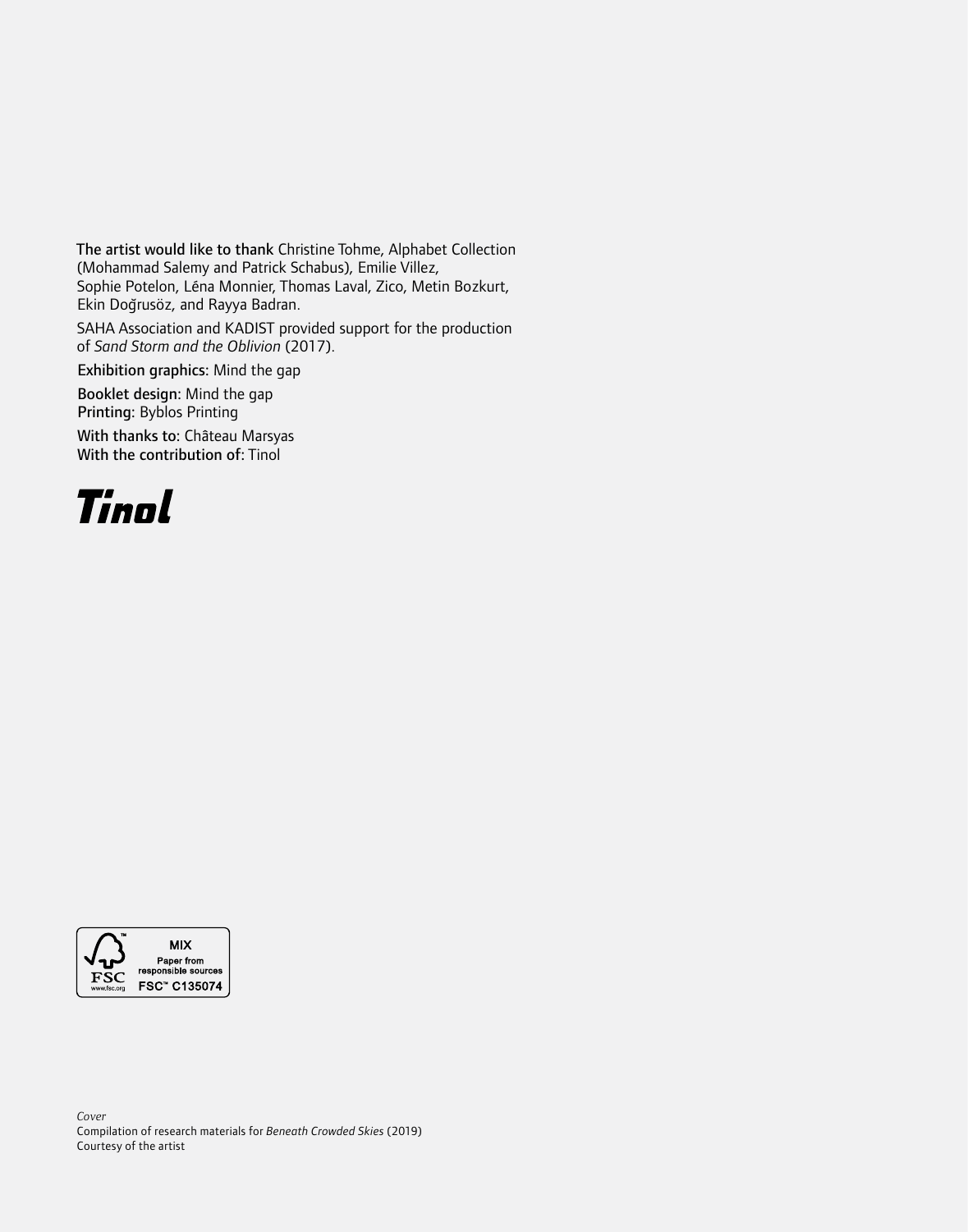The artist would like to thank Christine Tohme, Alphabet Collection (Mohammad Salemy and Patrick Schabus), Emilie Villez, Sophie Potelon, Léna Monnier, Thomas Laval, Zico, Metin Bozkurt, Ekin Doğrusöz, and Rayya Badran.

SAHA Association and KADIST provided support for the production of *Sand Storm and the Oblivion* (2017).

Exhibition graphics: Mind the gap

Booklet design: Mind the gap Printing: Byblos Printing

With thanks to: Château Marsyas With the contribution of: Tinol



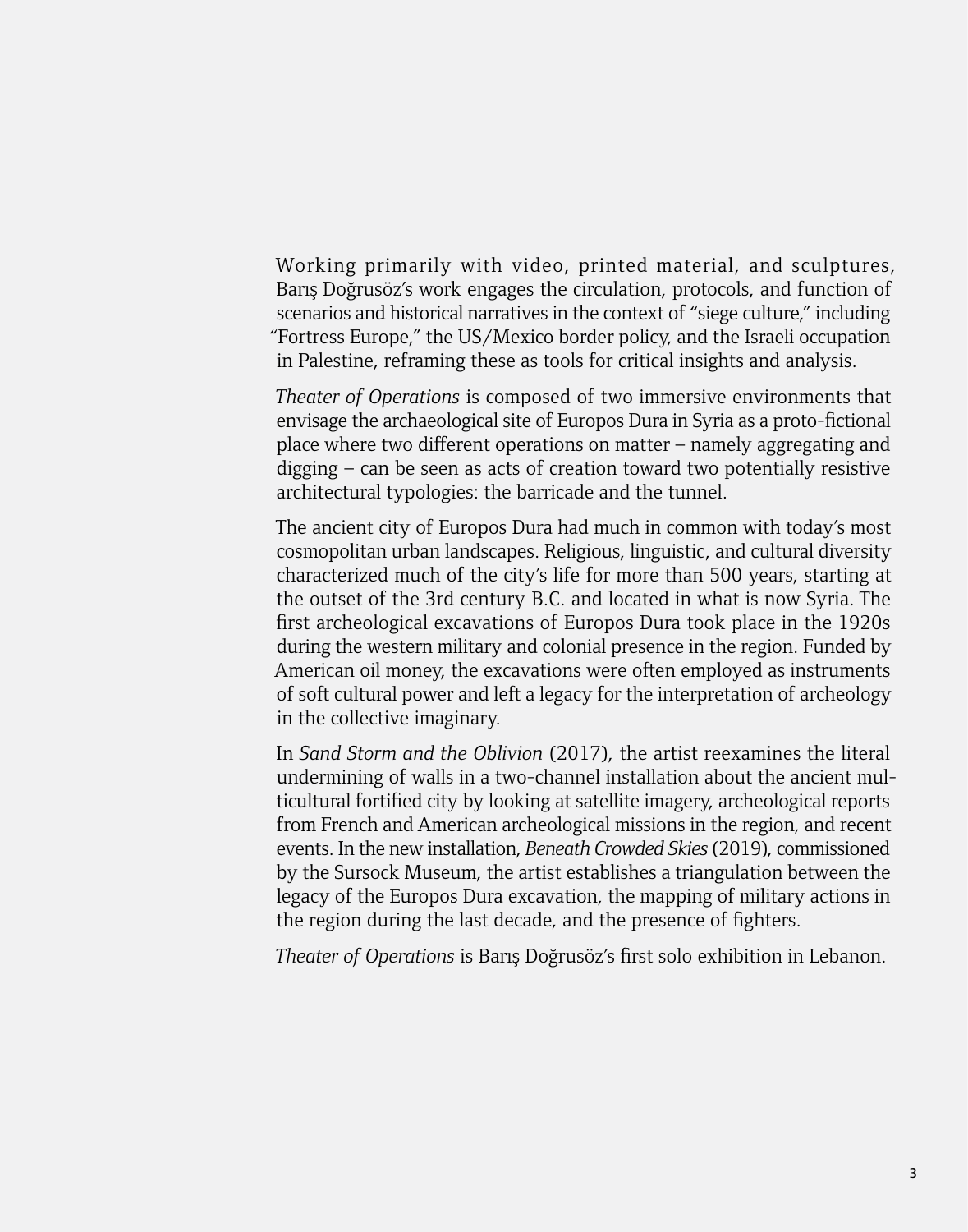Working primarily with video, printed material, and sculptures, Baris Doğrusöz's work engages the circulation, protocols, and function of scenarios and historical narratives in the context of "siege culture," including "Fortress Europe," the US/Mexico border policy, and the Israeli occupation in Palestine, reframing these as tools for critical insights and analysis.

*Theater of Operations* is composed of two immersive environments that envisage the archaeological site of Europos Dura in Syria as a proto-fictional place where two different operations on matter – namely aggregating and digging – can be seen as acts of creation toward two potentially resistive architectural typologies: the barricade and the tunnel.

The ancient city of Europos Dura had much in common with today's most cosmopolitan urban landscapes. Religious, linguistic, and cultural diversity characterized much of the city's life for more than 500 years, starting at the outset of the 3rd century B.C. and located in what is now Syria. The first archeological excavations of Europos Dura took place in the 1920s during the western military and colonial presence in the region. Funded by American oil money, the excavations were often employed as instruments of soft cultural power and left a legacy for the interpretation of archeology in the collective imaginary.

In *Sand Storm and the Oblivion* (2017), the artist reexamines the literal undermining of walls in a two-channel installation about the ancient multicultural fortified city by looking at satellite imagery, archeological reports from French and American archeological missions in the region, and recent events. In the new installation, *Beneath Crowded Skies* (2019), commissioned by the Sursock Museum, the artist establishes a triangulation between the legacy of the Europos Dura excavation, the mapping of military actions in the region during the last decade, and the presence of fighters.

*Theater of Operations* is Barıs¸ Dog˘rusöz's first solo exhibition in Lebanon.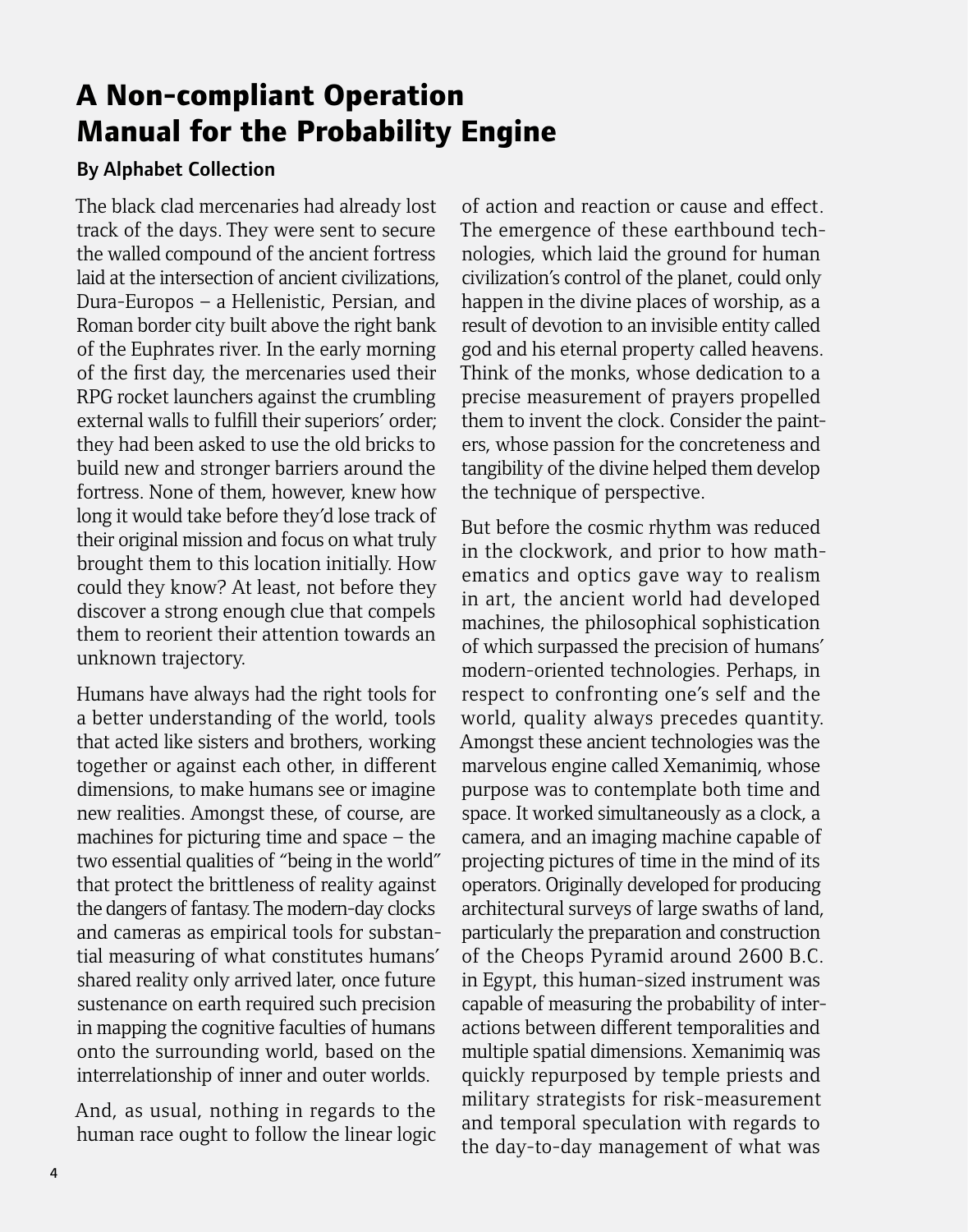### **A Non-compliant Operation Manual for the Probability Engine**

#### By Alphabet Collection

The black clad mercenaries had already lost track of the days. They were sent to secure the walled compound of the ancient fortress laid at the intersection of ancient civilizations, Dura-Europos – a Hellenistic, Persian, and Roman border city built above the right bank of the Euphrates river. In the early morning of the first day, the mercenaries used their RPG rocket launchers against the crumbling external walls to fulfill their superiors' order; they had been asked to use the old bricks to build new and stronger barriers around the fortress. None of them, however, knew how long it would take before they'd lose track of their original mission and focus on what truly brought them to this location initially. How could they know? At least, not before they discover a strong enough clue that compels them to reorient their attention towards an unknown trajectory.

Humans have always had the right tools for a better understanding of the world, tools that acted like sisters and brothers, working together or against each other, in different dimensions, to make humans see or imagine new realities. Amongst these, of course, are machines for picturing time and space – the two essential qualities of "being in the world" that protect the brittleness of reality against the dangers of fantasy. The modern-day clocks and cameras as empirical tools for substantial measuring of what constitutes humans' shared reality only arrived later, once future sustenance on earth required such precision in mapping the cognitive faculties of humans onto the surrounding world, based on the interrelationship of inner and outer worlds.

And, as usual, nothing in regards to the human race ought to follow the linear logic of action and reaction or cause and effect. The emergence of these earthbound technologies, which laid the ground for human civilization's control of the planet, could only happen in the divine places of worship, as a result of devotion to an invisible entity called god and his eternal property called heavens. Think of the monks, whose dedication to a precise measurement of prayers propelled them to invent the clock. Consider the painters, whose passion for the concreteness and tangibility of the divine helped them develop the technique of perspective.

But before the cosmic rhythm was reduced in the clockwork, and prior to how mathematics and optics gave way to realism in art, the ancient world had developed machines, the philosophical sophistication of which surpassed the precision of humans' modern-oriented technologies. Perhaps, in respect to confronting one's self and the world, quality always precedes quantity. Amongst these ancient technologies was the marvelous engine called Xemanimiq, whose purpose was to contemplate both time and space. It worked simultaneously as a clock, a camera, and an imaging machine capable of projecting pictures of time in the mind of its operators. Originally developed for producing architectural surveys of large swaths of land, particularly the preparation and construction of the Cheops Pyramid around 2600 B.C. in Egypt, this human-sized instrument was capable of measuring the probability of interactions between different temporalities and multiple spatial dimensions. Xemanimiq was quickly repurposed by temple priests and military strategists for risk-measurement and temporal speculation with regards to the day-to-day management of what was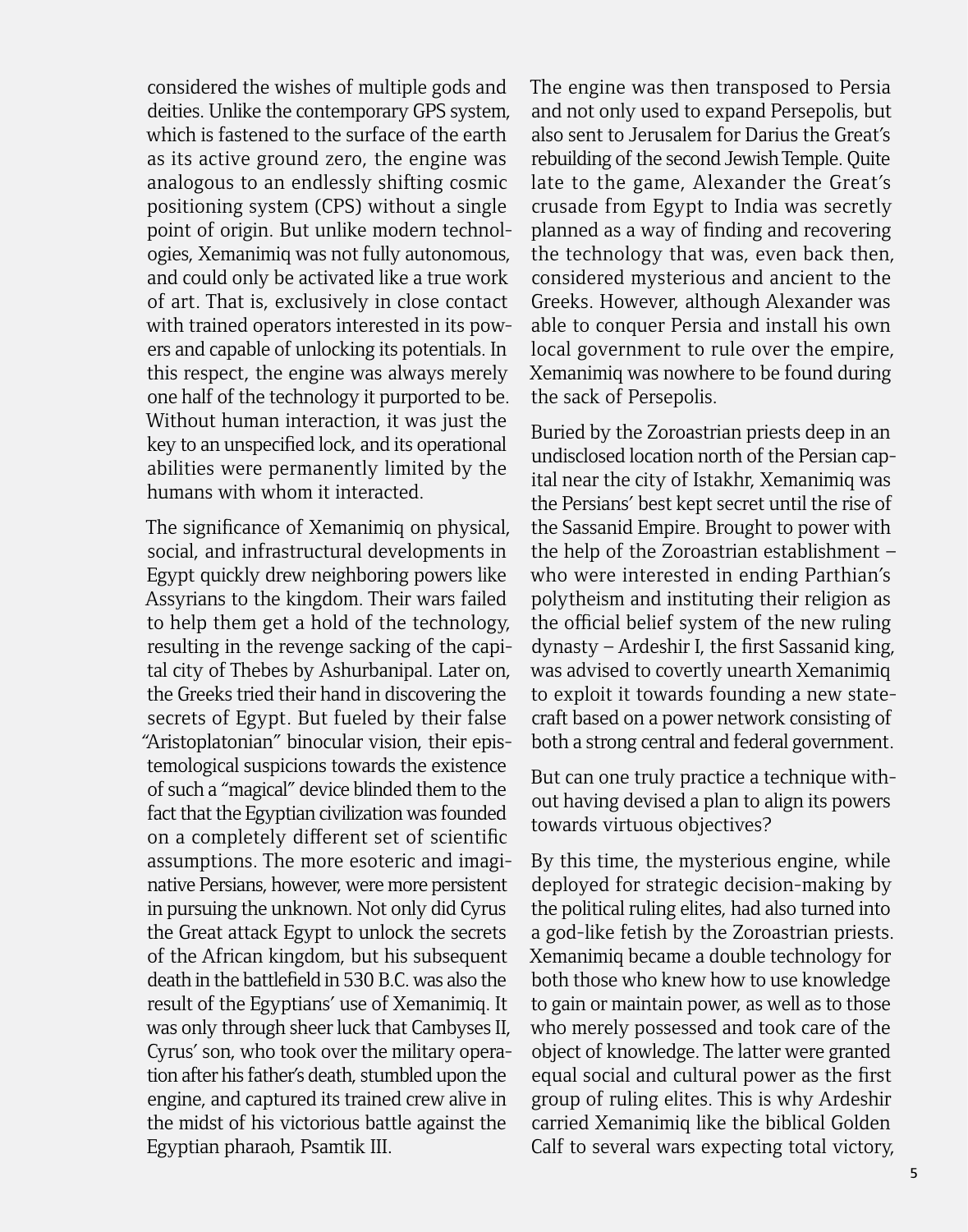considered the wishes of multiple gods and deities. Unlike the contemporary GPS system, which is fastened to the surface of the earth as its active ground zero, the engine was analogous to an endlessly shifting cosmic positioning system (CPS) without a single point of origin. But unlike modern technologies, Xemanimiq was not fully autonomous, and could only be activated like a true work of art. That is, exclusively in close contact with trained operators interested in its powers and capable of unlocking its potentials. In this respect, the engine was always merely one half of the technology it purported to be. Without human interaction, it was just the key to an unspecified lock, and its operational abilities were permanently limited by the humans with whom it interacted.

The significance of Xemanimiq on physical, social, and infrastructural developments in Egypt quickly drew neighboring powers like Assyrians to the kingdom. Their wars failed to help them get a hold of the technology, resulting in the revenge sacking of the capital city of Thebes by Ashurbanipal. Later on, the Greeks tried their hand in discovering the secrets of Egypt. But fueled by their false "Aristoplatonian" binocular vision, their epistemological suspicions towards the existence of such a "magical" device blinded them to the fact that the Egyptian civilization was founded on a completely different set of scientific assumptions. The more esoteric and imaginative Persians, however, were more persistent in pursuing the unknown. Not only did Cyrus the Great attack Egypt to unlock the secrets of the African kingdom, but his subsequent death in the battlefield in 530 B.C. was also the result of the Egyptians' use of Xemanimiq. It was only through sheer luck that Cambyses II, Cyrus' son, who took over the military operation after his father's death, stumbled upon the engine, and captured its trained crew alive in the midst of his victorious battle against the Egyptian pharaoh, Psamtik III.

The engine was then transposed to Persia and not only used to expand Persepolis, but also sent to Jerusalem for Darius the Great's rebuilding of the second Jewish Temple. Quite late to the game, Alexander the Great's crusade from Egypt to India was secretly planned as a way of finding and recovering the technology that was, even back then, considered mysterious and ancient to the Greeks. However, although Alexander was able to conquer Persia and install his own local government to rule over the empire, Xemanimiq was nowhere to be found during the sack of Persepolis.

Buried by the Zoroastrian priests deep in an undisclosed location north of the Persian capital near the city of Istakhr, Xemanimiq was the Persians' best kept secret until the rise of the Sassanid Empire. Brought to power with the help of the Zoroastrian establishment – who were interested in ending Parthian's polytheism and instituting their religion as the official belief system of the new ruling dynasty – Ardeshir I, the first Sassanid king, was advised to covertly unearth Xemanimiq to exploit it towards founding a new statecraft based on a power network consisting of both a strong central and federal government.

But can one truly practice a technique without having devised a plan to align its powers towards virtuous objectives?

By this time, the mysterious engine, while deployed for strategic decision-making by the political ruling elites, had also turned into a god-like fetish by the Zoroastrian priests. Xemanimiq became a double technology for both those who knew how to use knowledge to gain or maintain power, as well as to those who merely possessed and took care of the object of knowledge. The latter were granted equal social and cultural power as the first group of ruling elites. This is why Ardeshir carried Xemanimiq like the biblical Golden Calf to several wars expecting total victory,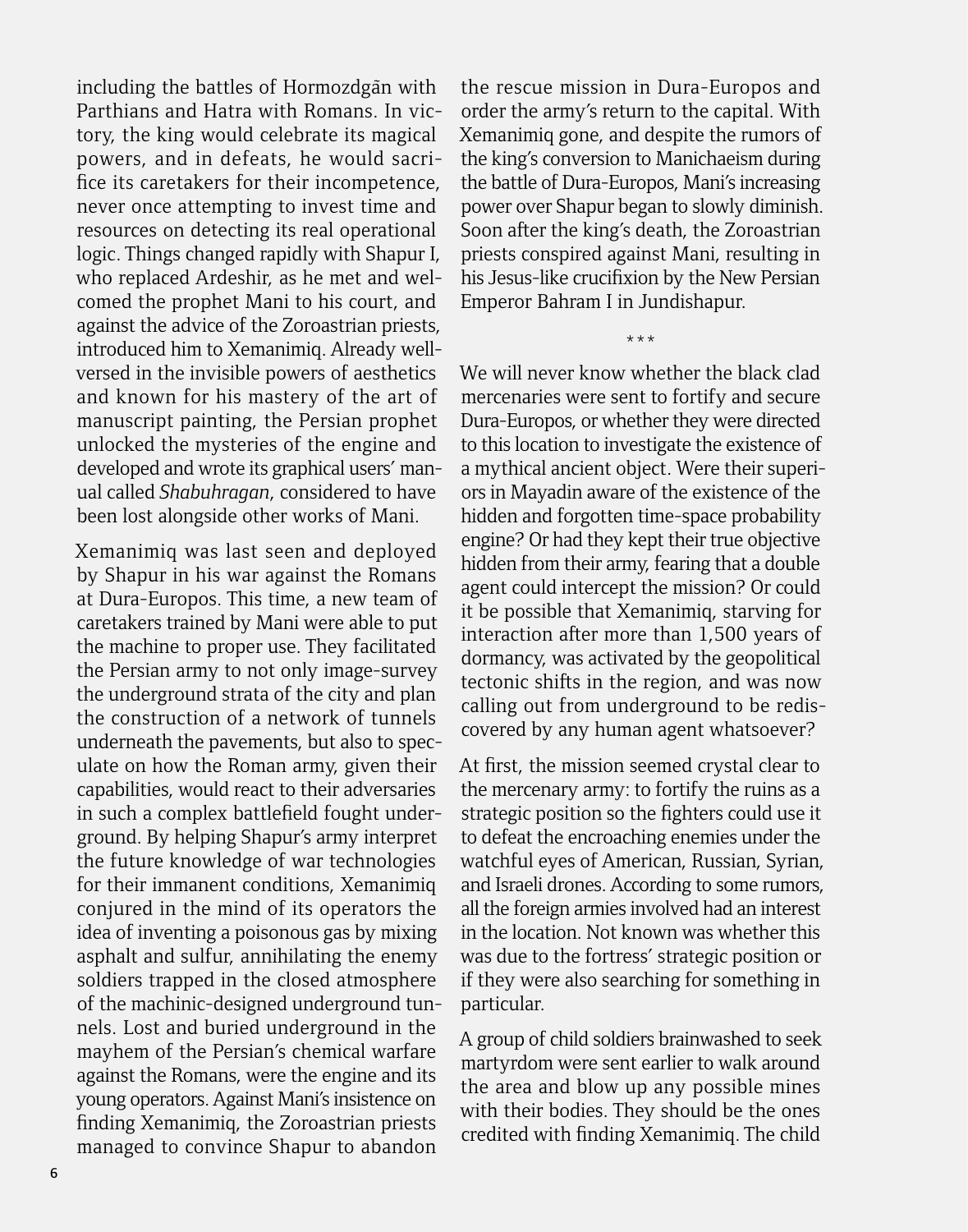including the battles of Hormozdgan with Parthians and Hatra with Romans. In victory, the king would celebrate its magical powers, and in defeats, he would sacrifice its caretakers for their incompetence, never once attempting to invest time and resources on detecting its real operational logic. Things changed rapidly with Shapur I, who replaced Ardeshir, as he met and welcomed the prophet Mani to his court, and against the advice of the Zoroastrian priests, introduced him to Xemanimiq. Already wellversed in the invisible powers of aesthetics and known for his mastery of the art of manuscript painting, the Persian prophet unlocked the mysteries of the engine and developed and wrote its graphical users' manual called *Shabuhragan*, considered to have been lost alongside other works of Mani.

Xemanimiq was last seen and deployed by Shapur in his war against the Romans at Dura-Europos. This time, a new team of caretakers trained by Mani were able to put the machine to proper use. They facilitated the Persian army to not only image-survey the underground strata of the city and plan the construction of a network of tunnels underneath the pavements, but also to speculate on how the Roman army, given their capabilities, would react to their adversaries in such a complex battlefield fought underground. By helping Shapur's army interpret the future knowledge of war technologies for their immanent conditions, Xemanimiq conjured in the mind of its operators the idea of inventing a poisonous gas by mixing asphalt and sulfur, annihilating the enemy soldiers trapped in the closed atmosphere of the machinic-designed underground tunnels. Lost and buried underground in the mayhem of the Persian's chemical warfare against the Romans, were the engine and its young operators. Against Mani's insistence on finding Xemanimiq, the Zoroastrian priests managed to convince Shapur to abandon

the rescue mission in Dura-Europos and order the army's return to the capital. With Xemanimiq gone, and despite the rumors of the king's conversion to Manichaeism during the battle of Dura-Europos, Mani's increasing power over Shapur began to slowly diminish. Soon after the king's death, the Zoroastrian priests conspired against Mani, resulting in his Jesus-like crucifixion by the New Persian Emperor Bahram I in Jundishapur.

\*\*\*

We will never know whether the black clad mercenaries were sent to fortify and secure Dura-Europos, or whether they were directed to this location to investigate the existence of a mythical ancient object. Were their superiors in Mayadin aware of the existence of the hidden and forgotten time-space probability engine? Or had they kept their true objective hidden from their army, fearing that a double agent could intercept the mission? Or could it be possible that Xemanimiq, starving for interaction after more than 1,500 years of dormancy, was activated by the geopolitical tectonic shifts in the region, and was now calling out from underground to be rediscovered by any human agent whatsoever?

At first, the mission seemed crystal clear to the mercenary army: to fortify the ruins as a strategic position so the fighters could use it to defeat the encroaching enemies under the watchful eyes of American, Russian, Syrian, and Israeli drones. According to some rumors, all the foreign armies involved had an interest in the location. Not known was whether this was due to the fortress' strategic position or if they were also searching for something in particular.

A group of child soldiers brainwashed to seek martyrdom were sent earlier to walk around the area and blow up any possible mines with their bodies. They should be the ones credited with finding Xemanimiq. The child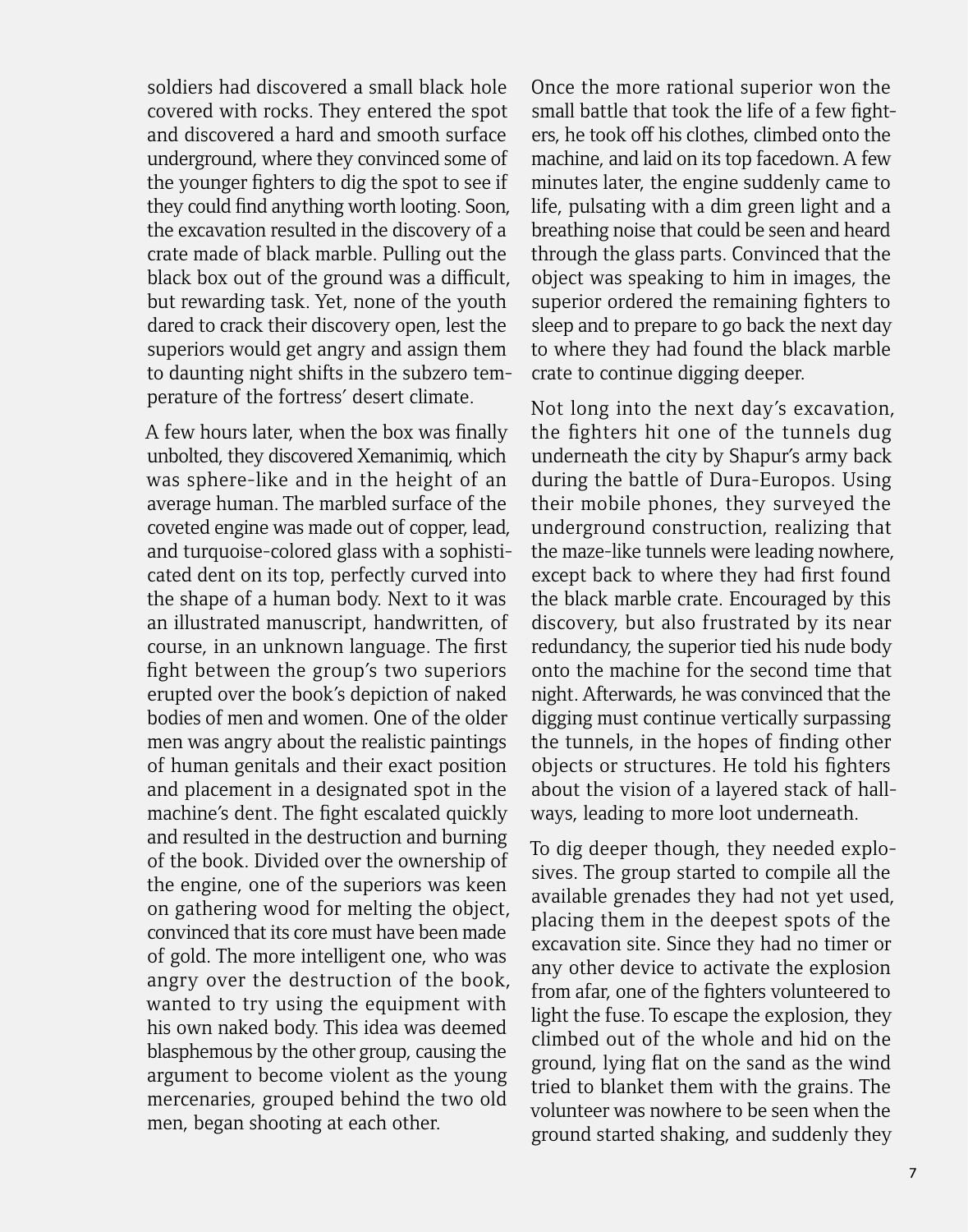soldiers had discovered a small black hole covered with rocks. They entered the spot and discovered a hard and smooth surface underground, where they convinced some of the younger fighters to dig the spot to see if they could find anything worth looting. Soon, the excavation resulted in the discovery of a crate made of black marble. Pulling out the black box out of the ground was a difficult, but rewarding task. Yet, none of the youth dared to crack their discovery open, lest the superiors would get angry and assign them to daunting night shifts in the subzero temperature of the fortress' desert climate.

A few hours later, when the box was finally unbolted, they discovered Xemanimiq, which was sphere-like and in the height of an average human. The marbled surface of the coveted engine was made out of copper, lead, and turquoise-colored glass with a sophisticated dent on its top, perfectly curved into the shape of a human body. Next to it was an illustrated manuscript, handwritten, of course, in an unknown language. The first fight between the group's two superiors erupted over the book's depiction of naked bodies of men and women. One of the older men was angry about the realistic paintings of human genitals and their exact position and placement in a designated spot in the machine's dent. The fight escalated quickly and resulted in the destruction and burning of the book. Divided over the ownership of the engine, one of the superiors was keen on gathering wood for melting the object, convinced that its core must have been made of gold. The more intelligent one, who was angry over the destruction of the book, wanted to try using the equipment with his own naked body. This idea was deemed blasphemous by the other group, causing the argument to become violent as the young mercenaries, grouped behind the two old men, began shooting at each other.

Once the more rational superior won the small battle that took the life of a few fighters, he took off his clothes, climbed onto the machine, and laid on its top facedown. A few minutes later, the engine suddenly came to life, pulsating with a dim green light and a breathing noise that could be seen and heard through the glass parts. Convinced that the object was speaking to him in images, the superior ordered the remaining fighters to sleep and to prepare to go back the next day to where they had found the black marble crate to continue digging deeper.

Not long into the next day's excavation, the fighters hit one of the tunnels dug underneath the city by Shapur's army back during the battle of Dura-Europos. Using their mobile phones, they surveyed the underground construction, realizing that the maze-like tunnels were leading nowhere, except back to where they had first found the black marble crate. Encouraged by this discovery, but also frustrated by its near redundancy, the superior tied his nude body onto the machine for the second time that night. Afterwards, he was convinced that the digging must continue vertically surpassing the tunnels, in the hopes of finding other objects or structures. He told his fighters about the vision of a layered stack of hallways, leading to more loot underneath.

To dig deeper though, they needed explosives. The group started to compile all the available grenades they had not yet used, placing them in the deepest spots of the excavation site. Since they had no timer or any other device to activate the explosion from afar, one of the fighters volunteered to light the fuse. To escape the explosion, they climbed out of the whole and hid on the ground, lying flat on the sand as the wind tried to blanket them with the grains. The volunteer was nowhere to be seen when the ground started shaking, and suddenly they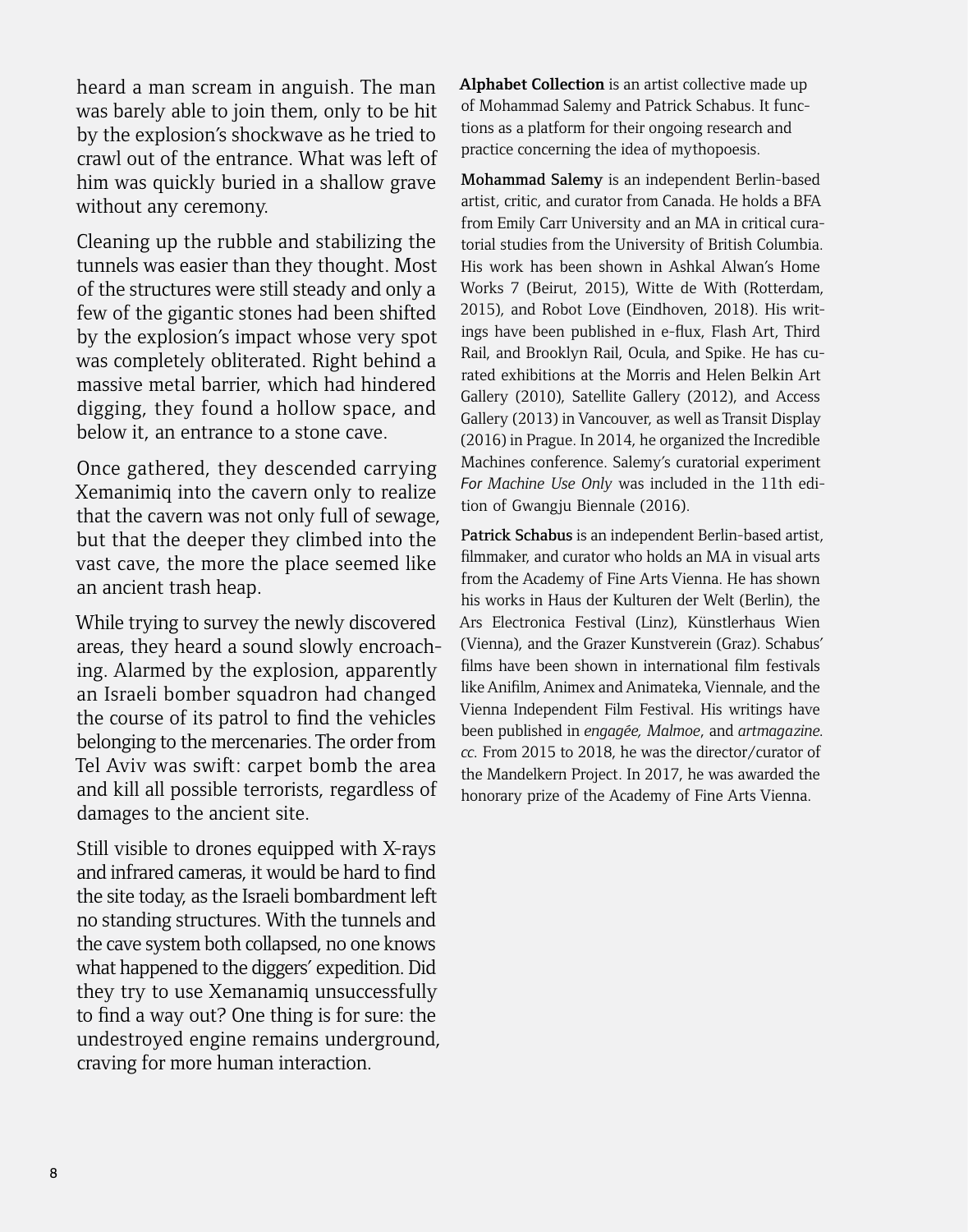heard a man scream in anguish. The man was barely able to join them, only to be hit by the explosion's shockwave as he tried to crawl out of the entrance. What was left of him was quickly buried in a shallow grave without any ceremony.

Cleaning up the rubble and stabilizing the tunnels was easier than they thought. Most of the structures were still steady and only a few of the gigantic stones had been shifted by the explosion's impact whose very spot was completely obliterated. Right behind a massive metal barrier, which had hindered digging, they found a hollow space, and below it, an entrance to a stone cave.

Once gathered, they descended carrying Xemanimiq into the cavern only to realize that the cavern was not only full of sewage, but that the deeper they climbed into the vast cave, the more the place seemed like an ancient trash heap.

While trying to survey the newly discovered areas, they heard a sound slowly encroaching. Alarmed by the explosion, apparently an Israeli bomber squadron had changed the course of its patrol to find the vehicles belonging to the mercenaries. The order from Tel Aviv was swift: carpet bomb the area and kill all possible terrorists, regardless of damages to the ancient site.

Still visible to drones equipped with X-rays and infrared cameras, it would be hard to find the site today, as the Israeli bombardment left no standing structures. With the tunnels and the cave system both collapsed, no one knows what happened to the diggers' expedition. Did they try to use Xemanamiq unsuccessfully to find a way out? One thing is for sure: the undestroyed engine remains underground, craving for more human interaction.

**Alphabet Collection** is an artist collective made up of Mohammad Salemy and Patrick Schabus. It functions as a platform for their ongoing research and practice concerning the idea of mythopoesis.

Mohammad Salemy is an independent Berlin-based artist, critic, and curator from Canada. He holds a BFA from Emily Carr University and an MA in critical curatorial studies from the University of British Columbia. His work has been shown in Ashkal Alwan's Home Works 7 (Beirut, 2015), Witte de With (Rotterdam, 2015), and Robot Love (Eindhoven, 2018). His writings have been published in e-flux, Flash Art, Third Rail, and Brooklyn Rail, Ocula, and Spike. He has curated exhibitions at the Morris and Helen Belkin Art Gallery (2010), Satellite Gallery (2012), and Access Gallery (2013) in Vancouver, as well as Transit Display (2016) in Prague. In 2014, he organized the Incredible Machines conference. Salemy's curatorial experiment *For Machine Use Only* was included in the 11th edition of Gwangiu Biennale (2016).

Patrick Schabus is an independent Berlin-based artist, filmmaker, and curator who holds an MA in visual arts from the Academy of Fine Arts Vienna. He has shown his works in Haus der Kulturen der Welt (Berlin), the Ars Electronica Festival (Linz), Künstlerhaus Wien (Vienna), and the Grazer Kunstverein (Graz). Schabus' films have been shown in international film festivals like Anifilm, Animex and Animateka, Viennale, and the Vienna Independent Film Festival. His writings have been published in *engagée, Malmoe*, and *artmagazine. cc.* From 2015 to 2018, he was the director/curator of the Mandelkern Project. In 2017, he was awarded the honorary prize of the Academy of Fine Arts Vienna.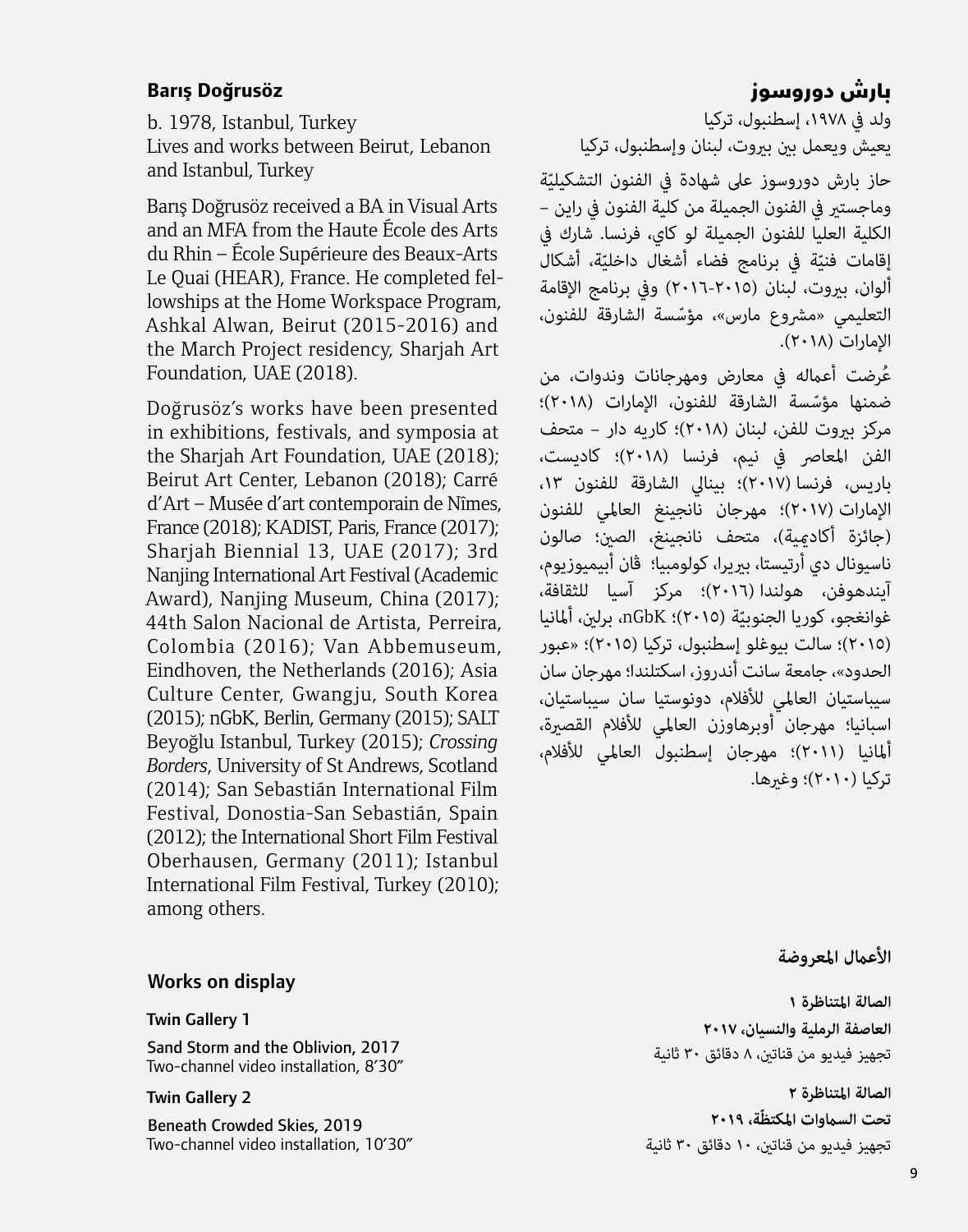#### **Barıs¸ Dog˘rusöz**

b. 1978, Istanbul, Turkey Lives and works between Beirut, Lebanon and Istanbul, Turkey

Barıs Doğrusöz received a BA in Visual Arts and an MFA from the Haute École des Arts du Rhin – École Supérieure des Beaux-Arts Le Quai (HEAR), France. He completed fellowships at the Home Workspace Program, Ashkal Alwan, Beirut (2015-2016) and the March Project residency, Sharjah Art Foundation, UAE (2018).

Doğrusöz's works have been presented in exhibitions, festivals, and symposia at the Shariah Art Foundation, UAE (2018): Beirut Art Center, Lebanon (2018); Carré d'Art – Musée d'art contemporain de Nîmes, France (2018); KADIST, Paris, France (2017); Sharjah Biennial 13, UAE (2017); 3rd Nanjing International Art Festival (Academic Award), Nanjing Museum, China (2017); 44th Salon Nacional de Artista, Perreira, Colombia (2016); Van Abbemuseum, Eindhoven, the Netherlands (2016); Asia Culture Center, Gwangju, South Korea (2015); nGbK, Berlin, Germany (2015); SALT Beyog˘lu Istanbul, Turkey (2015); *Crossing Borders*, University of St Andrews, Scotland (2014); San Sebastián International Film Festival, Donostia-San Sebastián, Spain (2012); the International Short Film Festival Oberhausen, Germany (2011); Istanbul International Film Festival, Turkey (2010); among others.

#### Works on display

#### Twin Gallery 1

Sand Storm and the Oblivion, 2017 Two-channel video installation, 8'30"

#### Twin Gallery 2

Beneath Crowded Skies, 2019 Two-channel video installation, 10'30"

#### بارش دوروسوز

ولد يف ،١٩٧٨ إسطنبول، تركيا يعيش ويعمل بني بريوت، لبنان وإسطنبول، تركيا حاز بارش دوروسوز على شهادة في الفنون التشكيليّة<br>. وماجستري يف الفنون الجميلة من كلية الفنون يف راين – الكلية العليا للفنون الجميلة لو كاي، فرنسا. شارك يف إقامات فنيّة في برنامج فضاء أشغال داخليّة، أشكال<br>أ ألوان، بروت، لبنان (٢٠١٥-٢٠١٦) وفي برنامج الإقامة التعليمي «مشروع مارس»، مؤسّسة الشارقة للفنون،<br>الامارات (٢٠١٨).

عُرضت أعماله في معارض ومهرجانات وندوات، من<br>ضمنها مؤسِّسة الشارقة للفنون، الإمارات (٢٠١٨)؛<br>مركز بيروت للفن، لبنان (٢٠١٨)؛ كاريه دار – متحف الفن المعاصر في نيم، فرنسا (٢٠١٨)؛ كاديست، باريس، فرنسا )٢٠١٧(؛ بينايل الشارقة للفنون ،١٣ اإلمارات )٢٠١٧(؛ مهرجان نانجينغ العاملي للفنون (جائزة أكادمية)، متحف نانجينغ، الصنْ؛ صالون ناسيونال دي أرتيستا، برييرا، كولومبيا؛ ڤان أبيميوزيوم، آيندهوفن، هولندا )٢٠١٦(؛ مركز آسيا للثقافة، غوانغجو، كوريا الجنوبيّة (٢٠١٥)؛ nGbK، برلين، ألمانيا<br>. )٢٠١٥(؛ سالت بيوغلو إسطنبول، تركيا )٢٠١٥(؛ »عبور الحدود«، جامعة سانت أندروز، اسكتلندا؛ مهرجان سان سيباستيان العاملي لألفالم، دونوستيا سان سيباستيان، اسبانيا؛ مهرجان أوبرهاوزن العاملي لألفالم القصرية، أملانيا )٢٠١١(؛ مهرجان إسطنبول العاملي لألفالم، تركيا )٢٠١٠(؛ وغريها.

**األعامل املعروضة**

**الصالة املتناظرة ١ العاصفة الرملية والنسيان، ٢٠١٧** تجهيز فيديو من قناتني، ٨ دقائق ٣٠ ثانية

**الصالة املتناظرة ٢ ّة، ٢٠١٩ تحت الساموات املكتظ** تجهيز فيديو من قناتني، ١٠ دقائق ٣٠ ثانية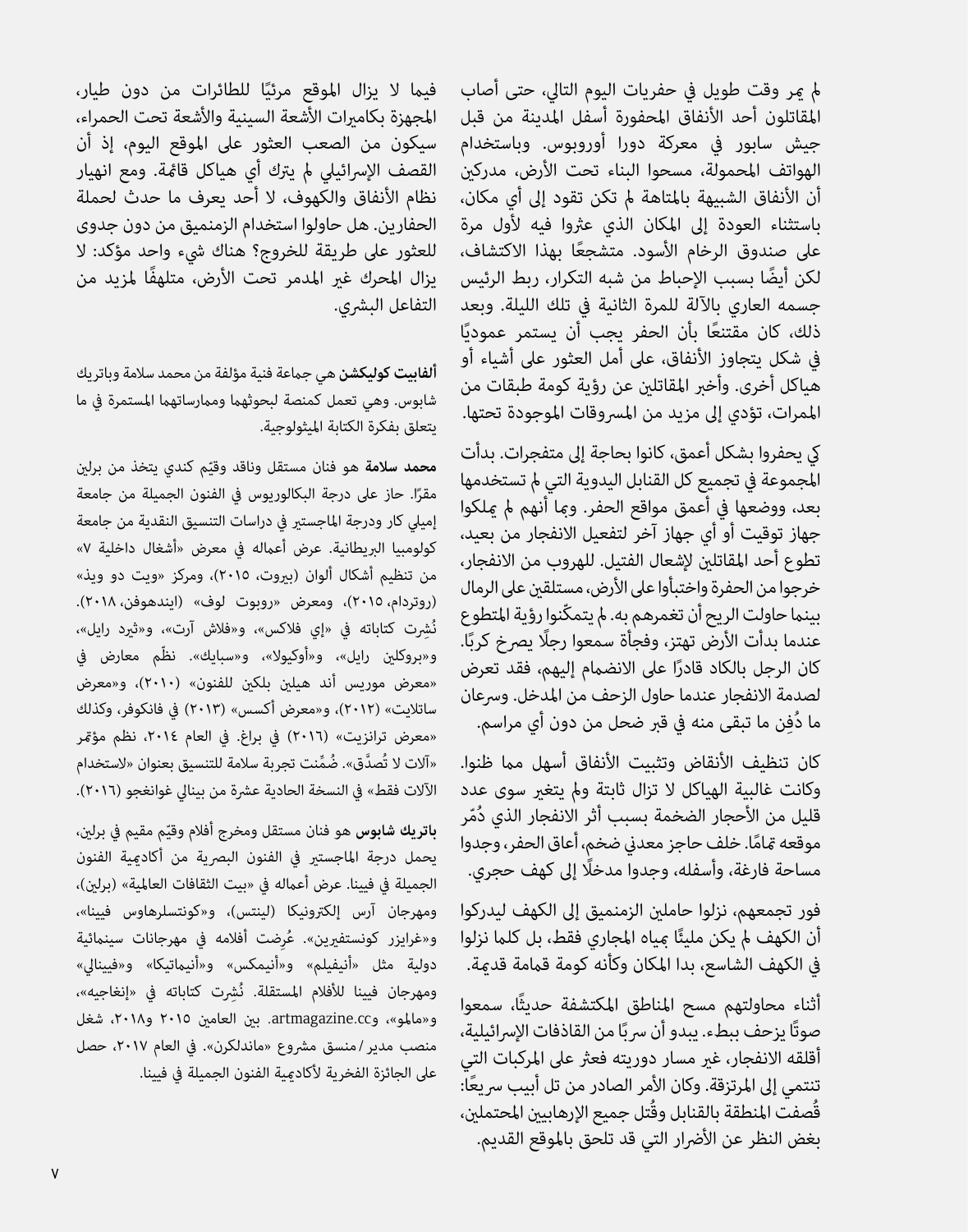مل مير وقت طويل يف حفريات اليوم التايل، حتى أصاب المقاتلون أحد الأنفاق المحفورة أسفل المدينة من قبل جيش سابور يف معركة دورا أوروبوس. وباستخدام الهواتف املحمولة، مسحوا البناء تحت األرض، مدركني أن الأنفاق الشبيهة بالمتاهة لم تكن تقود إلى أي مكان، باستثناء العودة إلى المكان الذي عثروا فيه لأول مرة<br>على صندوق الرخام الأسود. متشجعًا بهذا الاكتشاف، لكن أيضًا بسبب الإحباط من شبه التكرار، ربط الرئيس جسمه العاري باآللة للمرة الثانية يف تلك الليلة. وبعد ذلك، كان مقتنعًا بأن الحفر يجب أن يستمر عموديًا في شكل يتجاوز الأنفاق، على أمل العثور على أشياء أو هياكل أخرى. وأخرب املقاتلني عن رؤية كومة طبقات من املمرات، تؤدي إىل مزيد من املرسوقات املوجودة تحتها.

يك يحفروا بشكل أعمق، كانوا بحاجة إىل متفجرات. بدأت المجموعة في تجميع كل القنابل اليدوية التي لم تستخدمها بعد، ووضعها يف أعمق مواقع الحفر. ومبا أنهم مل ميلكوا جهاز توقيت أو أي جهاز آخر لتفعيل االنفجار من بعيد، تطوع أحد املقاتلني إلشعال الفتيل. للهروب من االنفجار، خرجوا من الحفرة واختبأوا عىل األرض، مستلقني عىل الرمال بينما حاولت الريح أن تغمرهم به. لم يتمكّنوا رؤية المتطوع عندما بدأت الأرض تهتز، وفجأة سمعوا رجلًا يصرخ كربًا. كان الرجل بالكاد قادرًا على الانضمام إليهم، فقد تعرض<br>لصدمة الانفجار عندما حاول الزحف من المدخل. وسرعان ُ ما دِفن ما تبقى منه يف قرب ضحل من دون أي مراسم.

كان تنظيف الأنقاض وتثبيت الأنفاق أسهل مما ظنوا. وكانت غالبية الهياكل ال تزال ثابتة ومل يتغري سوى عدد قليل من الأحجار الضخمة بسبب أثر الانفجار الذي دُمّر<br>موقعه قامًا. خلف حاجز معدني ضخم، أعاق الحفر، وجدوا مساحة فارغة، وأسفله، وجدواً مدخلًا إلى كهف حجري.

فور تجمعهم، نزلوا حاملني الزمنميق إىل الكهف ليدركوا أن الكهف لم يكن مليئًا ممياه المجاري فقط، بل كلما نزلوا يف الكهف الشاسع، بدا املكان وكأنه كومة قاممة قدمية.

أثناء محاولتهم مسح املناطق املكتشفة حديثًا، سمعوا صوتًا يزحف ببطء. يبدو أن سربًا من القاذفات الإسرائيلية،<br>ـ أقلقه الانفجار، غير مسار دوريته فعثر على المركبات التي تنتمي إلى المرتزقة. وكان الأمر الصادر من تل أبيب سريعًا: قُصفت المنطقة بالقنابل وقُتل جميع الإرهابيين المحتملين، بغض النظر عن الأضرار التي قد تلحق بالموقع القديم.

ًا للطائرات من دون طيار، فيام ال يزال املوقع مرئي المجهزة بكاميرات الأشعة السينية والأشعة تحت الحمراء، سيكون من الصعب العثور عىل املوقع اليوم، إذ أن القصف اإلرسائييل مل يرتك أي هياكل قامئة. ومع انهيار نظام الأنفاق والكهوف، لا أحد يعرف ما حدث لحملة الحفارين. هل حاولوا استخدام الزمنميق من دون جدوى للعثور عىل طريقة للخروج؟ هناك يشء واحد مؤكد: ال يزال املحرك غري املدمر تحت األرض، متلهفًا ملزيد من التفاعل البشري.

**ألفابيت كوليكشن** هي جامعة فنية مؤلفة من محمد سالمة وباتريك شابوس. وهي تعمل كمنصة لبحوثهما وممارساتهما المستمرة في ما يتعلق بفكرة الكتابة امليثولوجية.

<mark>محمد سلامة</mark> هو فنان مستقل وناقد وقيّم كندي يتخذ من برلين مقرًا. حاز على درجة البكالوريوس في الفنون الجميلة من جامعة إمييل كار ودرجة املاجستري يف دراسات التنسيق النقدية من جامعة كولومبيا البريطانية. عرض أعماله في معرض «أشغال داخلية ٧» من تنظيم أشكال ألوان (بيروت، ٢٠١٥)، ومركز «ويت دو ويذ» )روتردام، ٢٠١٥(، ومعرض »روبوت لوف« )ايندهوفن، ٢٠١٨(. نُشِرت كتاباته في «إي فلاكس»، و«فلاش آرت»، و«ثيرد رايل»، و»بروكلني رايل«، و»أوكيوال«، و»سبايك«. نظّم معارض يف »معرض موريس أند هيلني بلكني للفنون« )٢٠١٠(، و»معرض ساتاليت« )٢٠١٢(، و»معرض أكسس« )٢٠١٣( يف فانكوفر، وكذلك »معرض ترانزيت« )٢٠١٦( يف براغ. يف العام ،٢٠١٤ نظم مؤمتر «آلات لا تُصدَّق». ضُمِّنت تجربة سلامة للتنسبق بعنوان «لاستخدام الآلات فقط» في النسخة الحادية عشرة من بينالي غوانغجو (٢٠١٦).

**باتريك شابوس** هو فنان مستقل ومخرج أفلام وقيّم مقيم في برلين، يحمل درجة الماجستير فى الفنون البصرية من أكادمية الفنون الجميلة في فيينا. عرض أعماله في «بيت الثقافات العالمية» (برلين)، ومهرجان آرس إلكترونيكا (لينتس)، و«كونتسلرهاوس فيينا»، و«غرايزر كونستفبرين». عُرضت أفلامه في مهرجانات سينمائية دولية مثل «أنيفيلم» و«أنيمكس» و«أنيماتيكا» و«فيينالي» ومهرجان فيينا للأفلام المستقلة. نُشِرت كتاباته في «إنغاجيه»، و»ماملو«، وcc.artmagazine. بني العامني ٢٠١٥ و،٢٠١٨ شغل منصب مدير / منسق مشروع «ماندلكرن». في العام ٢٠١٧، حصل على الجائزة الفخرية لأكادمية الفنون الجميلة في فيينا.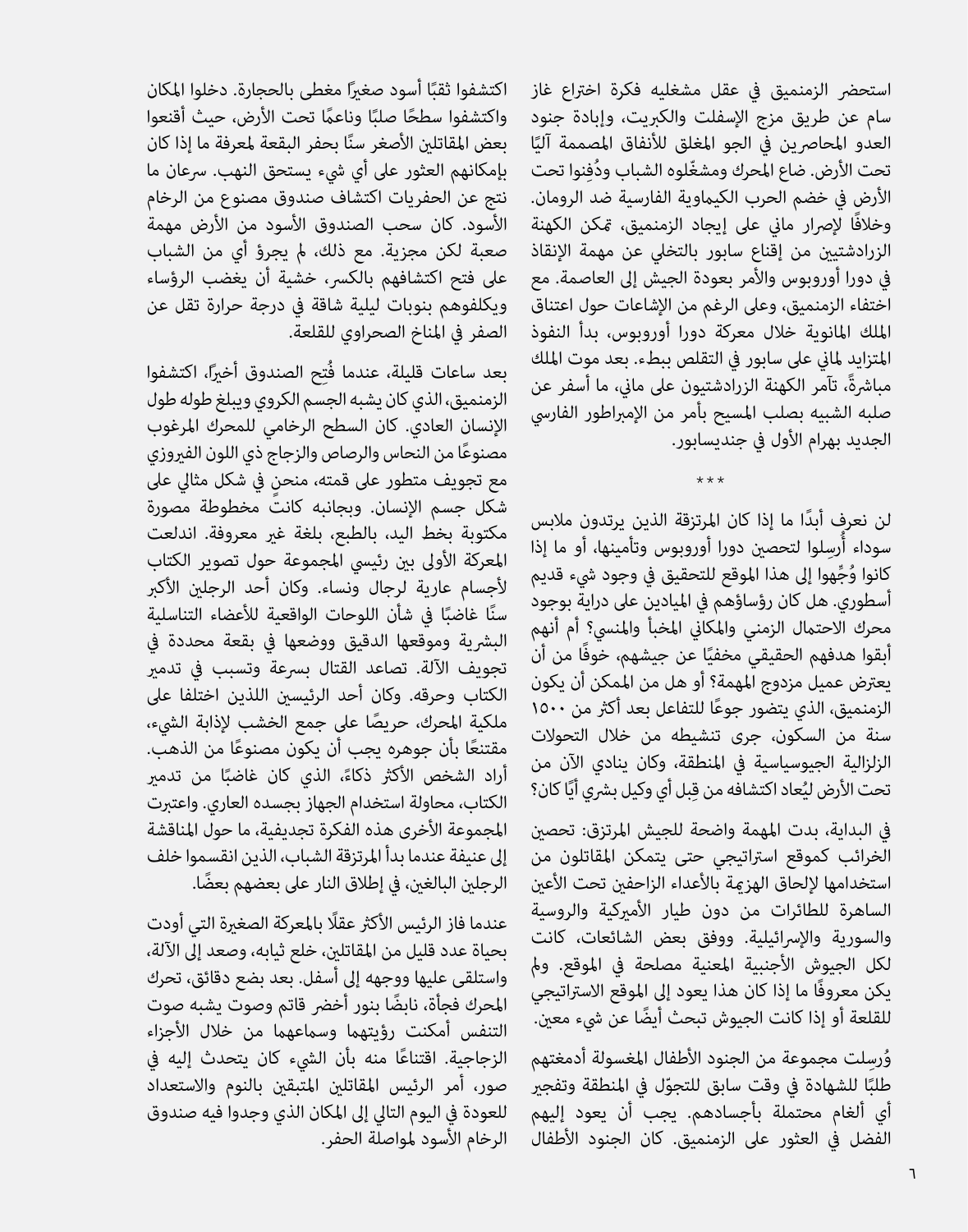استحضر الزمنميق في عقل مشغليه فكرة اختراع غاز سام عن طريق مزج اإلسفلت والكربيت، وإبادة جنود العدو المحاصرين في الجو المغلق للأنفاق المصممة آليًا<br>يبن تحت الأرض. ضاع المحرك ومشغّلوه الشباب ودُفنوا تحت األرض يف خضم الحرب الكياموية الفارسية ضد الرومان. وخالفًا إلرصار ماين عىل إيجاد الزمنميق، متكن الكهنة الزرادشتيني من إقناع سابور بالتخيل عن مهمة اإلنقاذ يف دورا أوروبوس واألمر بعودة الجيش إىل العاصمة. مع اختفاء الزمنميق، وعىل الرغم من اإلشاعات حول اعتناق امللك املانوية خالل معركة دورا أوروبوس، بدأ النفوذ املتزايد ملاين عىل سابور يف التقلص ببطء. بعد موت امللك مباشرةً، تآمر الكهنة الزرادشتيون على ماني، ما أسفر عن صلبه الشبيه بصلب املسيح بأمر من اإلمرباطور الفاريس الجديد بهرام الأول في جنديسابور.

لن نعرف أبدًا ما إذا كان المرتزقة الذين يرتدون ملابس<br>سوداء أُرسِلوا لتحصين دورا أوروبوس وتأمينها، أو ما إذا كانوا وُجِّهوا إلى هذا الموقع للتحقيق في وجود شيء قديم<br>أسطوري. هل كان رؤساؤهم في الميادين على دراية بوجود محرك الاحتمال الزمني والمكاني المخبأ والمنسي؟ أم أنهم ًا عن جيشهم، خوفًا من أن أبقوا هدفهم الحقيقي مخفي يعترض عميل مزدوج المهمة؟ أو هل من الممكن أن يكون<br>الزمنمبق، الذي يتضور جوعًا للتفاعل بعد أكثر من ١٥٠٠ سنة من السكون، جرى تنشيطه من خلال التحولات الزلزالية الجيوسياسية يف املنطقة، وكان ينادي اآلن من تحت الأرض ليُعاد اكتشافه من قِبل أي وكيل بشري أيًا كان؟

\*\*\*

يف البداية، بدت املهمة واضحة للجيش املرتزق: تحصني الخرائب كموقع اسرتاتيجي حتى يتمكن املقاتلون من استخدامها لإلحاق الهزمة بالأعداء الزاحفين تحت الأعين الساهرة للطائرات من دون طيار األمريكية والروسية والسورية واإلرسائيلية. ووفق بعض الشائعات، كانت لكل الجيوش الأجنبية المعنية مصلحة في الموقع. ولم يكن معروفًا ما إذا كان هذا يعود إىل املوقع االسرتاتيجي ً للقلعة أو إذا كانت الجيوش تبحث أيضا عن يشء معني.

وُرسلت مجموعة من الجنود الأطفال المغسولة أدمغتهم طلبًا للشهادة في وقت سابق للتجوّل في المنطقة وتفجير أي ألغام محتملة بأجسادهم. يجب أن يعود إليهم الفضل يف العثور عىل الزمنميق. كان الجنود األطفال

اكتشفوا ثقبًا أسود صغيرًا مغطى بالحجارة. دخلوا المكان<br>متصفوا ثقبًا أسود صدر واكتشفوا سطحًا صلبًا وناعمًا تحت الأرض، حيث أقنعوا<br>بعض المقاتلن الأصغر سنًا بحفر البقعة لمعرفة ما إذا كان بإمكانهم العثور على أي شيء يستحق النهب. سرعان ما نتج عن الحفريات اكتشاف صندوق مصنوع من الرخام األسود. كان سحب الصندوق األسود من األرض مهمة صعبة لكن مجزية. مع ذلك، مل يجرؤ أي من الشباب على فتح اكتشافهم بالكسر، خشية أن يغضب الرؤساء ويكلفوهم بنوبات ليلية شاقة يف درجة حرارة تقل عن الصفر يف املناخ الصحراوي للقلعة.

بعد ساعات قليلة، عندما فُتِح الصندوق أخيرًا، اكتشفوا الزمنميق، الذي كان يشبه الجسم الكروي ويبلغ طوله طول الإنسان العادي. كان السطح الرخامي للمحرك المرغوب<br>مصنوعًا من النحاس والرصاص والزجاج ذي اللون الفيروزي مع تجويف متطور على قمته، منحن في شكل مثالي على شكل جسم اإلنسان. وبجانبه كانت مخطوطة مصورة مكتوبة بخط اليد، بالطبع، بلغة غري معروفة. اندلعت المعركة الأولى بين رئيسي المجموعة حول تصوير الكتاب ألجسام عارية لرجال ونساء. وكان أحد الرجلني األكرب ًا يف شأن اللوحات الواقعية لألعضاء التناسلية البشرية وموقعها الدقيق ووضعها في بقعة محددة في تجويف الآلة. تصاعد القتال بسرعة وتسبب في تدمر الكتاب وحرقه. وكان أحد الرئيسين اللذين اختلفا على<br>ملكية المحرك، حريصًا على جمع الخشب لإذابة الشيء، مقتنعًا بأن جوهره يجب أن يكون مصنوعًا من الذهب. أراد الشخص الأكثر ذكاءً، الذي كان غاضبً<br>... الكتاب، محاولة استخدام الجهاز بجسده العاري. واعتربت المحموعة الأخرى هذه الفكرة تجديفية، ما حول المناقشة إىل عنيفة عندما بدأ املرتزقة الشباب، الذين انقسموا خلف ً الرجلني البالغني، يف إطالق النار عىل بعضهم بعضا.

عندما فاز الرئيس الأكثر عقلًا بالمعركة الصغيرة التي أودت بحياة عدد قليل من املقاتلني، خلع ثيابه، وصعد إىل اآللة، واستلقى عليها ووجهه إىل أسفل. بعد بضع دقائق، تحرك المحرك فجأة، نابضًا بنور أخضر قاتم وصوت يشبه صوت التنفس أمكنت رؤيتهما وسماعهما من خلال الأجزاء<br>الزجاجية. اقتناعًا منه بأن الشيء كان يتحدث إليه في صور، أمر الرئيس المقاتلين المتبقين بالنوم والاستعداد للعودة في اليوم التالي إلى المكان الذي وجدوا فيه صندوق الرخام الأسود لمواصلة الحفر.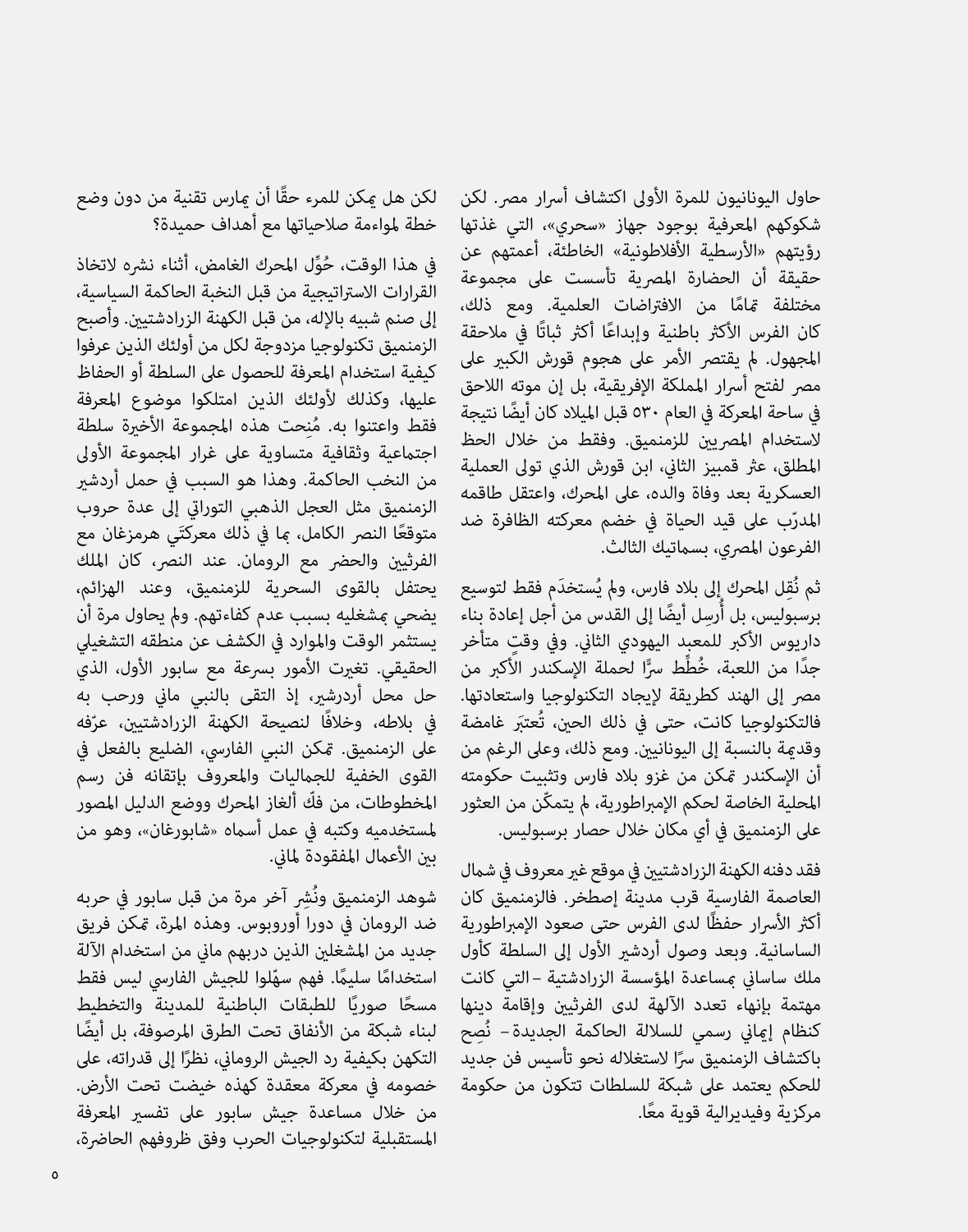حاول اليونانيون للمرة الأولى اكتشاف أسرار مص . لكن شكوكهم املعرفية بوجود جهاز »سحري«، التي غذتها رؤيتهم «الأرسطية الأفلاطونية» الخاطئة، أعمتهم عن حقيقة أن الحضارة المصرية تأسست على مجموعة<br>مختلفة <sup>ج</sup>امًا من الافتراضات العلمية. ومع ذلك، كان الفرس الأكثر باطنية وإبداعًا أكثر ثباتًا في ملاحقة<br>المجهول. لم يقتصر الأمر على هجوم قورش الكبير على مصر لفتح أسرار المملكة الإفريقية، بل إن موته اللاحق يف ساحة املعركة يف العام ٥٣٠ ً قبل امليالد كان أيضا نتيجة لاستخدام المصرين للزمنميق. وفقط من خلال الحظ المطلق، عثر قمبيز الثاني، ابن قورش الذي تولى العملية العسكرية بعد وفاة والده، عىل املحرك، واعتقل طاقمه المدرّب على قيد الحياة في خضم معركته الظافرة ضد<br>الفرعون المصري، بسماتيك الثالث.

ثم نُقِل المحرك إِلى بلادٍ فارس، ولم يُستخدَمٍ فقط لتوسيع برسبوليس، بل أُرسِل أيضًا إلى القدس من أجل إعادة بِناء داريوس الأكبر للمعبد اليهودي الثاني. وفي وقت متأخر<br>جدًا من اللعبة، خُطِّط سرًّا لحملة الإسكندر الأَكبر من مص إلى الهند كطريقة لإيجاد التكنولوجيا واستعادتها. فالتكنولوجيا كانت، حتى يف ذلك الحني، تُعتَب غامضة وقدمية بالنسبة إىل اليونانيني. ومع ذلك، وعىل الرغم من أن اإلسكندر متكن من غزو بالد فارس وتثبيت حكومته ّ املحلية الخاصة لحكم اإلمرباطورية، مل يتمكن من العثور عىل الزمنميق يف أي مكان خالل حصار برسبوليس.

فقد دفنه الكهنة الزرادشتين في موقع غبر معروف في شمال العاصمة الفارسية قرب مدينة إصطخر. فالزمنميق كان أكثر الأسرار حفظًا لدى الفرس حتى صعود الإمبراطورية الساسانية. وبعد وصول أردشري األول إىل السلطة كأول ملك ساساين مبساعدة املؤسسة الزرادشتية – التي كانت مهتمة بإنهاء تعدد اآللهة لدى الفرثيني وإقامة دينها كنظام إماني رسمي للسلالة الحاكمة الجديدة– نُصِح باكتشاف الزمنميق سرًا لاستغلاله نحو تأسيس فن جديد<br>للحكم بعتمد على شبكة للسلطات تتكون من حكومة ً مركزية وفيديرالية قوية معا.

ً لكن هل ميكن للمرء حقا أن ميارس تقنية من دون وضع خطة ملواءمة صالحياتها مع أهداف حميدة؟

في هذا الوقت، حُوِّل المحرك الغامض، أثناء نشره لاتخاذ<br>القرارات الاستراتيجية من قبل النخبة الحاكمة السياسية، إىل صنم شبيه باإلله، من قبل الكهنة الزرادشتيني. وأصبح الزمنميق تكنولوجيا مزدوجة لكل من أولئك الذين عرفوا كيفية استخدام املعرفة للحصول عىل السلطة أو الحفاظ عليها، وكذلك لأولئك الذين امتلكوا موضوع المعرفة<br>فقط واعتنوا به. مُنحت هذه المجموعة الأخيرة سلطة اجتماعية وثقافية متساوية على غرار المجموعة الأولى من النخب الحاكمة. وهذا هو السبب يف حمل أردشري الزمنميق مثل العجل الذهبي التورايت إىل عدة حروب متوقعًا النصر الكامل، ما في ذَلك معركتَي هرمزغان مع الفرثيين والحضر مع الرومان. عند النصر، كان الملك يحتفل بالقوى السحرية للزمنميق، وعند الهزائم، يضحي مبشغليه بسبب عدم كفاءتهم. ومل يحاول مرة أن يستثمر الوقت واملوارد يف الكشف عن منطقه التشغييل الحقيقي. تغيرت الأمور بسرعة مع سابور الأول، الذي حل محل أردرشري، إذ التقى بالنبي ماين ورحب به ّفه يف بالطه، وخالفًا لنصيحة الكهنة الزرادشتيني، عر عىل الزمنميق. متكن النبي الفاريس، الضليع بالفعل يف القوى الخفية للجامليات واملعروف بإتقانه فن رسم ّ املخطوطات، من فك ألغاز املحرك ووضع الدليل املصور ملستخدميه وكتبه يف عمل أسامه »شابورغان«، وهو من بين الأعمال المفقودة لماني.

شوهد الزمنميق ونُشِرِ آخر مرة من قبل سابور في حربه ضد الرومان يف دورا أوروبوس. وهذه املرة، متكن فريق جديد من المشغلن الذين دربهم ماني من استخدام الآلة استخدامًا سليمًا. فهم سهّلوا للجيش الفارسي ليس فقط مسحًا صوريًا للطبقات الباطنية للمدينة والتخطيط لبناء شبكة من الأنفاق تحت الطرق المرصوفة، بل أيضًا التكهن بكيفية رد الجيش الروماني، نظرًا إلى قدراته، على<br>-خصومه يف معركة معقدة كهذه خيضت تحت األرض. من خالل مساعدة جيش سابور عىل تفسري املعرفة المستقبلية لتكنولوجيات الحرب وفق ظروفهم الحاضرة،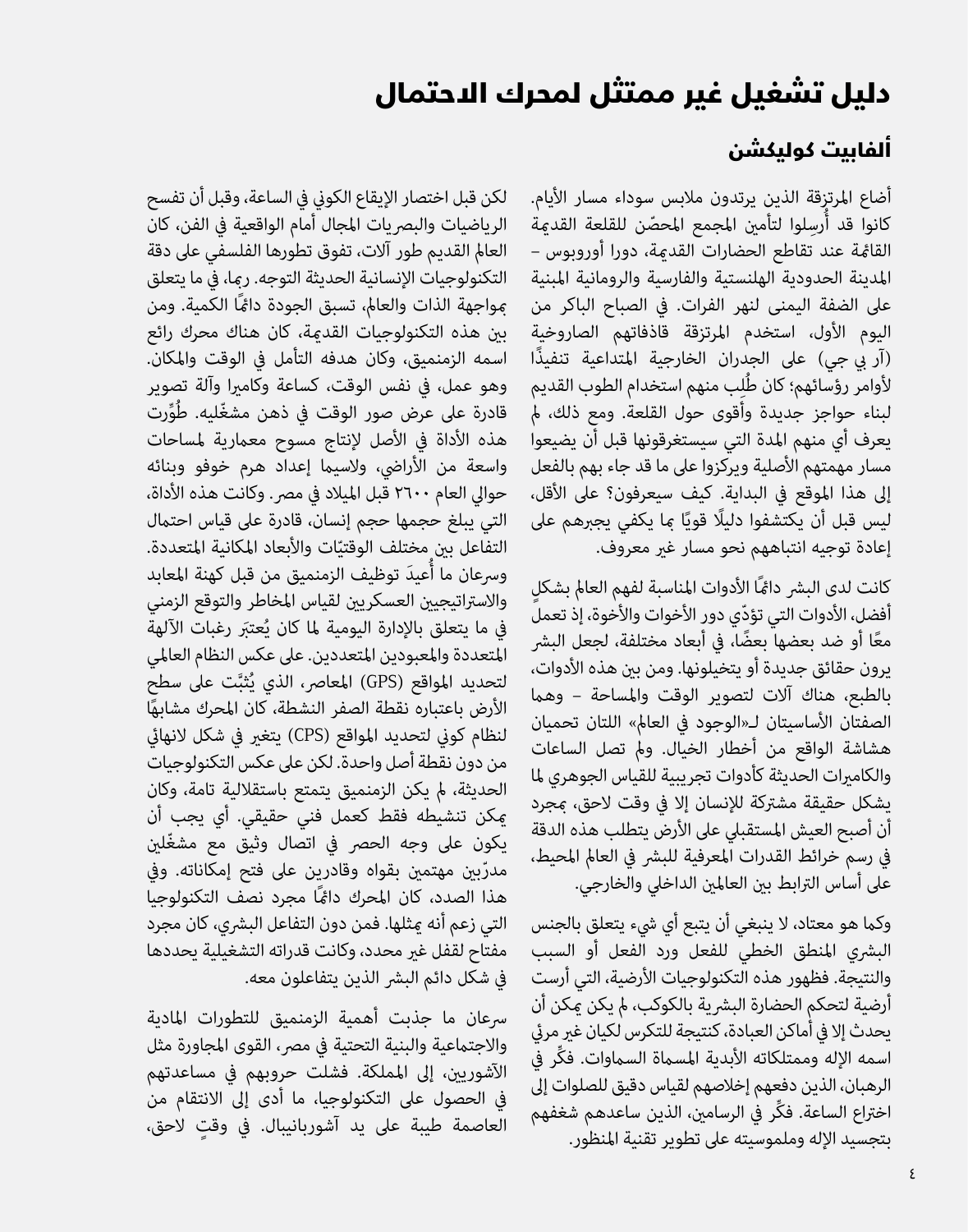## دليل تشغيل غير ممتثل لمحرك االحتمال

#### ألفابيت كوليكشن

أضاع المرتزقة الذين يرتدون ملابس سوداء مسار الأيام. كانوا قد أُرسِلوا لتأمين المجمع المحصّن للقلعة القدمة القامئة عند تقاطع الحضارات القدمية، دورا أوروبوس – املدينة الحدودية الهلنستية والفارسية والرومانية املبنية عىل الضفة اليمنى لنهر الفرات. يف الصباح الباكر من اليوم األول، استخدم املرتزقة قاذفاتهم الصاروخية (آر بي جي) على الجدران الخارجية المتداعية تنفيذًا لأوامر رؤسائهم؛ كان طُلِِب منهم استخدام الطوب القديم لبناء حواجز جديدة وأقوى حول القلعة. ومع ذلك، مل يعرف أي منهم املدة التي سيستغرقونها قبل أن يضيعوا مسار مهمتهم الأصلية ويركزوا على ما قد جاء بهم بالفعل إىل هذا املوقع يف البداية. كيف سيعرفون؟ عىل األقل، ليس قبل أن يكتشفوا دليلًا قويًا مِا يكفي يجبرهم على إعادة توجيه انتباههم نحو مسار غري معروف.

كانت لدى البشر دامًا الأدوات المناسبة لفهم العالم بشكل أفضل، الأدوات التي تؤدّي دور الأخوات والأخوة، إذ تعمل<br>معًا أو ضد بعضها بعضًا، في أبعاد مختلفة، لجعل البشر يرون حقائق جديدة أو يتخيلونها. ومن بن هذه الأدوات، بالطبع، هناك آالت لتصوير الوقت واملساحة – وهام الصفتان الأساسيتان لـ«الوجود في العالم» اللتان تحميان هشاشة الواقع من أخطار الخيال. ومل تصل الساعات والكامبرات الحديثة كأدوات تجريبية للقياس الجوهري لما يشكل حقيقة مشرتكة لإلنسان إال يف وقت الحق، مبجرد أن أصبح العيش المستقبلى على الأرض يتطلب هذه الدقة في رسم خرائط القدرات المعرفية للبشر في العالم المحيط، على أساس الترابط بين العالمين الداخلي والخارجي.

وكام هو معتاد، ال ينبغي أن يتبع أي يشء يتعلق بالجنس البرشي املنطق الخطي للفعل ورد الفعل أو السبب والنتيجة. فظهور هذه التكنولوجيات األرضية، التي أرست أرضية لتحكم الحضارة البشرية بالكوكب، لم يكن عكن أن يحدث إلا في أماكن العبادة، كنتيجة للتكرس لكيان غبر مرئي ِّ اسمه اإلله وممتلكاته األبدية املسامة الساموات. فكر يف الرهبان، الذين دفعهم إخالصهم لقياس دقيق للصلوات إىل ِّ اخرتاع الساعة. فكر يف الرسامني، الذين ساعدهم شغفهم بتجسيد اإلله وملموسيته عىل تطوير تقنية املنظور.

لكن قبل اختصار الإيقاع الكونى في الساعة، وقبل أن تفسح الرياضيات والبصريات المجال أمام الواقعية في الفن، كان العالم القديم طور آلات، تفوق تطورها الفلسفي على دقة التكنولوجيات اإلنسانية الحديثة التوجه. رمبا، يف ما يتعلق مبواجهة الذات والعامل، تسبق الجودة دامئًا الكمية. ومن بني هذه التكنولوجيات القدمية، كان هناك محرك رائع اسمه الزمنميق، وكان هدفه التأمل يف الوقت واملكان. وهو عمل، يف نفس الوقت، كساعة وكامريا وآلة تصوير قادرة على عرض صور الوقت في ذهن مشغّليه. طُوِّرت هذه الأداة في الأصل لإنتاج مسوح معمارية لمساحات واسعة من الأراضي، ولاسيما إعداد هرم خوفو وبنائه حوالى العام ٢٦٠٠ قبل الميلاد في مصر. وكانت هذه الأداة، التي يبلغ حجمها حجم إنسان، قادرة على قياس احتمال التفاعل بين مختلف الوقتيّات والأبعاد المكانية المتعددة.<br>-وسرعان ما أُعيدَ توظيف الزمنميق من قبل كهنة المعابد والاستراتيجيين العسكريين لقياس المخاطر والتوقع الزمني في ما يتعلق بالإدارة اليومية لما كان يُعتبَر رغبات الآلهة املتعددة واملعبودين املتعددين. عىل عكس النظام العاملي لتحديد المواقع (GPS) المعاصر، الذي يُثبَّت على سطح<br>" ً األرض باعتباره نقطة الصفر النشطة، كان املحرك مشابها لنظام كوين لتحديد املواقع )CPS )يتغري يف شكل النهايئ من دون نقطة أصل واحدة. لكن عىل عكس التكنولوجيات الحديثة، مل يكن الزمنميق يتمتع باستقاللية تامة، وكان ميكن تنشيطه فقط كعمل فني حقيقي. أي يجب أن يكون على وجه الحص<sub>ر</sub> في اتصال وثيق مع مشغّلين<br>مدرّبن مهتمن بقواه وقادرين على فتح إمكاناته. وفي هذا الصدد، كان المحرك دامًاً مجرد نصف التكنولوجيا التي زعم أنه مِثلها. فمن دون التفاعل البشري، كان مجرد مفتاح لقفل غبر محدد، وكانت قدراته التشغيلية يحددها يف شكل دائم البرش الذين يتفاعلون معه.

رسعان ما جذبت أهمية الزمنميق للتطورات املادية والاجتماعية والبنية التحتية في مصر، القوى المجاورة مثل اآلشوريني، إىل اململكة. فشلت حروبهم يف مساعدتهم يف الحصول عىل التكنولوجيا، ما أدى إىل االنتقام من ٍ العاصمة طيبة عىل يد آشوربانيبال. يف وقت الحق،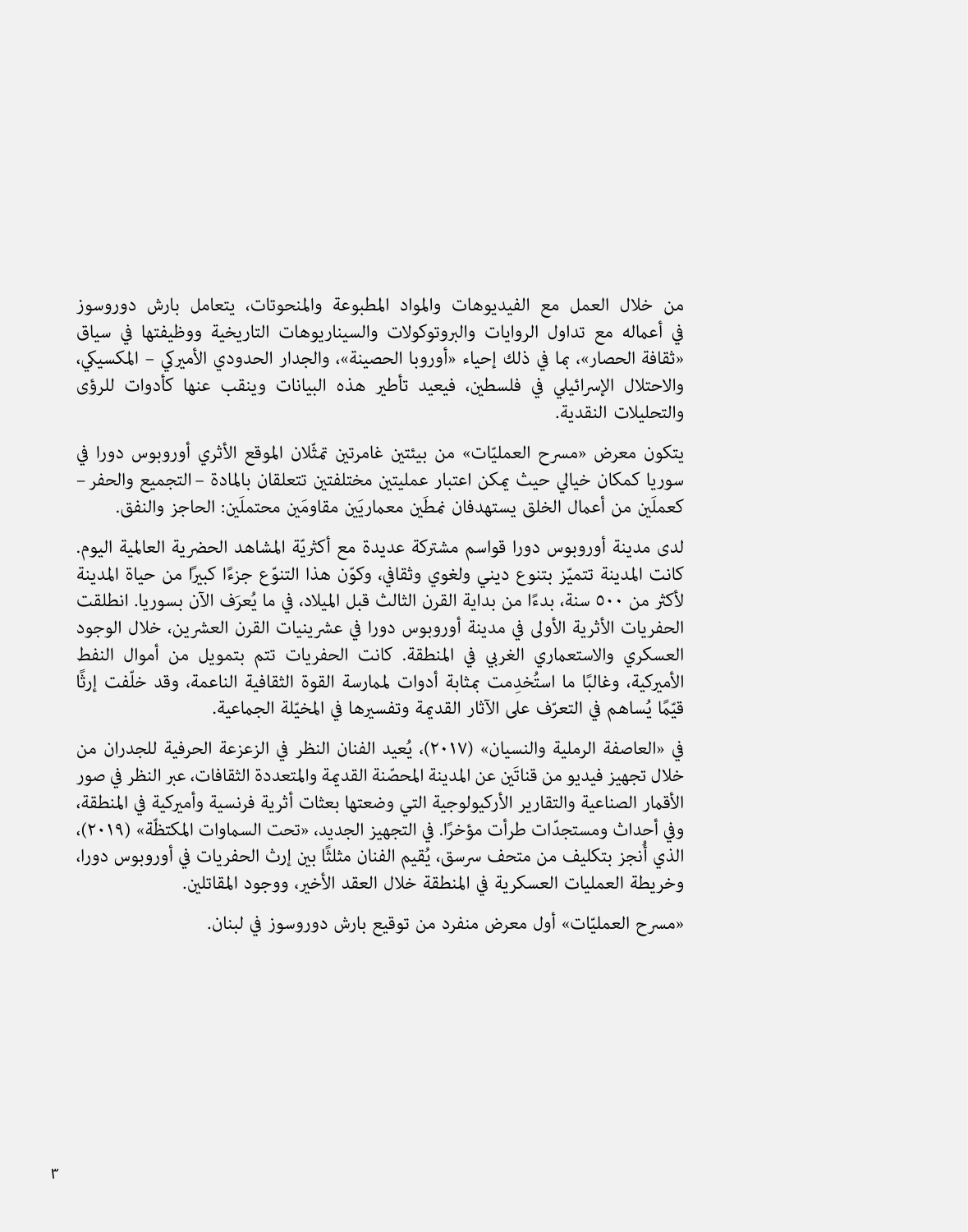من خالل العمل مع الفيديوهات واملواد املطبوعة واملنحوتات، يتعامل بارش دوروسوز يف أعامله مع تداول الروايات والربوتوكوالت والسيناريوهات التاريخية ووظيفتها يف سياق «ثقافة الحصار»، ما في ذلك إحياء «أوروبا الحصينة»، والجدار الحدودي الأميركي – المكسيكي، واالحتالل اإلرسائييل يف فلسطني، فيعيد تأطري هذه البيانات وينقب عنها كأدوات للرؤى والتحليالت النقدية.

يتكون معرض «مسرح العمليّات» من بيئتين غامرتين تمثّلان الموقع الأثري أوروبوس دورا في<br>يتكون معرض «مسرح العمليّات» من بيئتين غامرتين سوريا كمكان خيايل حيث ميكن اعتبار عمليتني مختلفتني تتعلقان باملادة – التجميع والحفر – كعملَين من أعمال الخلق يستهدفان مُطَين معماريَين مقاومَين محتملَين: الحاجز والنفق.

لدى مدينة أوروبوس دورا قواسم مشتركة عديدة مع أكثريّة المشاهد الحضرية العالمية اليوم. كانت المدينة تتميّز بتنوع ديني ولغوي وثقافي، وكوّن هذا التنوّع جزءًا كبيرًا من حياة المدينة<br>مُصرّف المسابقة لأكثر من ٥٠٠ سنة، بدءًا من بداية القرن الثالث قبل الميلاد، في ما يُعرَف الآن بسوريا. انطلقت<br>. الحفريات الأثرية الأولى في مدينة أوروبوس دورا في عشرينيات القرن العشرين، خلال الوجود العسكري والاستعماري الغربي في المنطقة. كانت الحفريات تتم بتمويل من أموال النفط ّفت إرثًا ُ ِخدمت مبثابة أدوات ملامرسة القوة الثقافية الناعمة، وقد خل ًا ما است األمريكية، وغالب قيّمًا يُساهم في التعرّف على الآثار القدمة وتفسيرها في المخيّلة الجماعية.<br>-

في «العاصفة الرملية والنسِيان» (٢٠١٧)، يُعيد الفنان النظر في الزعزعة الحرفية للجدران من خلال تجهيز فيديو من قناتَن عن المدينة المحصّنة القدمة والمتعددة الثقافات، عبر النظر في صور الأقمار الصناعية والتقارير الأركيولوجية التي وضعتها بعثات أثرية فرنسية وأميركية في المنطقة، وفي أحداث ومستجدّات طرأت مؤخرًا. في التجهيز الجديد، «تحت السماوات المكتظّة» (٢٠١٩)، وفي أحداث ومستجدّات طرأت مؤخرًا. في التجهيز الجديد، «تحت السماوات المكتظّة» (٢٠١٩)،<br>الذي أُنجز بتكليف من متحف سرسق، يُقيم الفنان مثلثًا بين إرث الحفريات في أوروبوس دورا، وخريطة العمليات العسكرية في المنطقة خلال العقد الأخير، ووجود المقاتلين.

«مسرح العمليّات» أول معرض منفرد من توقيع بارش دوروسوز في لبنان.<br>-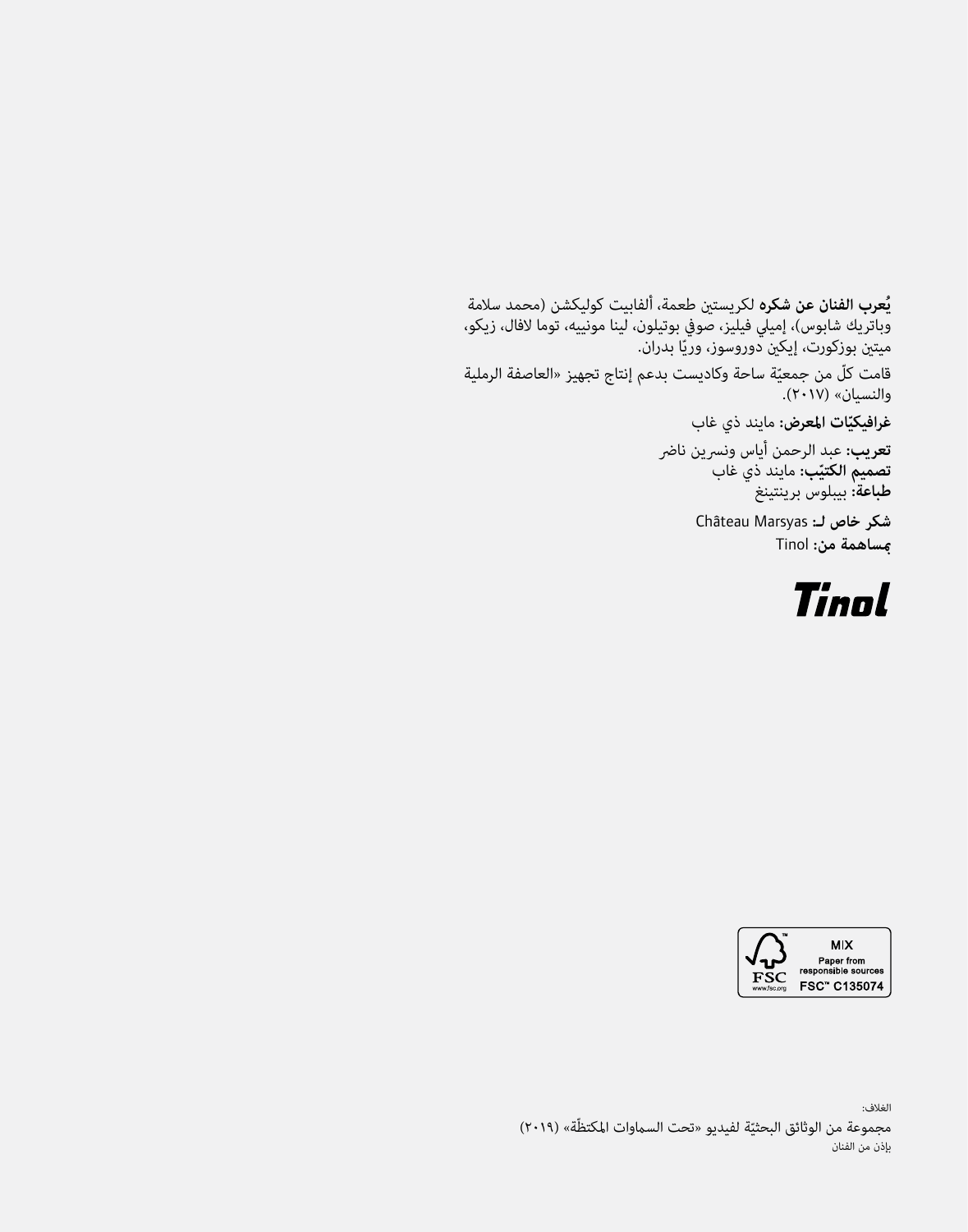**ُعرب الفنان عن شكره** لكريستني طعمة، ألفابيت كوليكشن )محمد سالمة **ي** وباتريك شابوس(، إمييل فيليز، صويف بوتيلون، لينا مونييه، توما الفال، زيكو، ميتين بوزكورت، إيكين دوروسوز، وريّا بدران. قامت كلّ من جمعيّة ساحة وكاديست بدعم إنتاج تجهيز «العاصفة الرملية<br>المصادف (بدد بن والنسيان« )٢٠١٧(.

**ّات املعرض:** مايند ذي غاب **غرافيكي**

<mark>تعريب:</mark> عبد الرحمن أياس ونسرين ناضر **تصميم الكتيّب:** مايند ذي غاب<br>ماري<sub>ب</sub> **طباعة:** بيبلوس برينتينغ

> شكر خاص لـ: Château Marsyas **مبساهمة من:** Tinol





الغالف: مجموعة من الوثائق البحثيّة لفيديو «تحت السماوات المكتظّة» (٢٠١٩)<br>بنديستين بإذن من الفنان